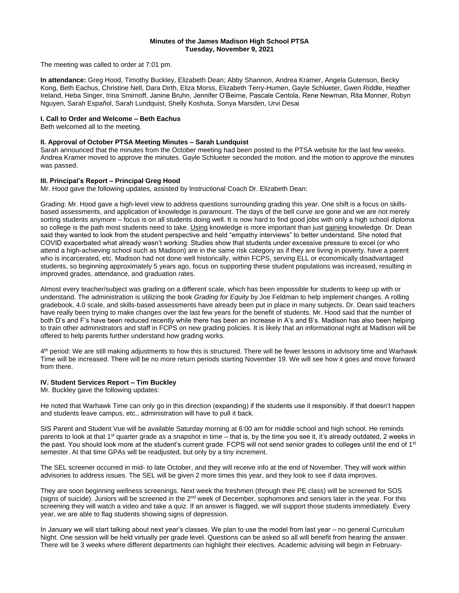#### **Minutes of the James Madison High School PTSA Tuesday, November 9, 2021**

The meeting was called to order at 7:01 pm.

**In attendance:** Greg Hood, Timothy Buckley, Elizabeth Dean; Abby Shannon, Andrea Kramer, Angela Gutenson, Becky Kong, Beth Eachus, Christine Nell, Dara Dirth, Eliza Morss, Elizabeth Terry-Humen, Gayle Schlueter, Gwen Riddle, Heather Ireland, Heba Singer, Irina Smirnoff, Janine Bruhn, Jennifer O'Beirne, Pascale Centola, Rene Newman, Rita Monner, Robyn Nguyen, Sarah Español, Sarah Lundquist, Shelly Koshuta, Sonya Marsden, Urvi Desai

# **I. Call to Order and Welcome – Beth Eachus**

Beth welcomed all to the meeting.

#### **II. Approval of October PTSA Meeting Minutes – Sarah Lundquist**

Sarah announced that the minutes from the October meeting had been posted to the PTSA website for the last few weeks. Andrea Kramer moved to approve the minutes. Gayle Schlueter seconded the motion, and the motion to approve the minutes was passed.

# **III. Principal's Report – Principal Greg Hood**

Mr. Hood gave the following updates, assisted by Instructional Coach Dr. Elizabeth Dean:

Grading: Mr. Hood gave a high-level view to address questions surrounding grading this year. One shift is a focus on skillsbased assessments, and application of knowledge is paramount. The days of the bell curve are gone and we are not merely sorting students anymore – focus is on all students doing well. It is now hard to find good jobs with only a high school diploma so college is the path most students need to take. Using knowledge is more important than just gaining knowledge. Dr. Dean said they wanted to look from the student perspective and held "empathy interviews" to better understand. She noted that COVID exacerbated what already wasn't working. Studies show that students under excessive pressure to excel (or who attend a high-achieving school such as Madison) are in the same risk category as if they are living in poverty, have a parent who is incarcerated, etc. Madison had not done well historically, within FCPS, serving ELL or economically disadvantaged students, so beginning approximately 5 years ago, focus on supporting these student populations was increased, resulting in improved grades, attendance, and graduation rates.

Almost every teacher/subject was grading on a different scale, which has been impossible for students to keep up with or understand. The administration is utilizing the book *Grading for Equity* by Joe Feldman to help implement changes. A rolling gradebook, 4.0 scale, and skills-based assessments have already been put in place in many subjects. Dr. Dean said teachers have really been trying to make changes over the last few years for the benefit of students. Mr. Hood said that the number of both D's and F's have been reduced recently while there has been an increase in A's and B's. Madison has also been helping to train other administrators and staff in FCPS on new grading policies. It is likely that an informational night at Madison will be offered to help parents further understand how grading works.

4<sup>th</sup> period: We are still making adjustments to how this is structured. There will be fewer lessons in advisory time and Warhawk Time will be increased. There will be no more return periods starting November 19. We will see how it goes and move forward from there.

## **IV. Student Services Report – Tim Buckley**

Mr. Buckley gave the following updates:

He noted that Warhawk Time can only go in this direction (expanding) if the students use it responsibly. If that doesn't happen and students leave campus, etc., administration will have to pull it back.

SIS Parent and Student Vue will be available Saturday morning at 6:00 am for middle school and high school. He reminds parents to look at that 1<sup>st</sup> quarter grade as a snapshot in time – that is, by the time you see it, it's already outdated, 2 weeks in the past. You should look more at the student's current grade. FCPS will not send senior grades to colleges until the end of 1<sup>st</sup> semester. At that time GPAs will be readjusted, but only by a tiny increment.

The SEL screener occurred in mid- to late October, and they will receive info at the end of November. They will work within advisories to address issues. The SEL will be given 2 more times this year, and they look to see if data improves.

They are soon beginning wellness screenings. Next week the freshmen (through their PE class) will be screened for SOS (signs of suicide). Juniors will be screened in the 2<sup>nd</sup> week of December, sophomores and seniors later in the year. For this screening they will watch a video and take a quiz. If an answer is flagged, we will support those students immediately. Every year, we are able to flag students showing signs of depression.

In January we will start talking about next year's classes. We plan to use the model from last year – no general Curriculum Night. One session will be held virtually per grade level. Questions can be asked so all will benefit from hearing the answer. There will be 3 weeks where different departments can highlight their electives. Academic advising will begin in February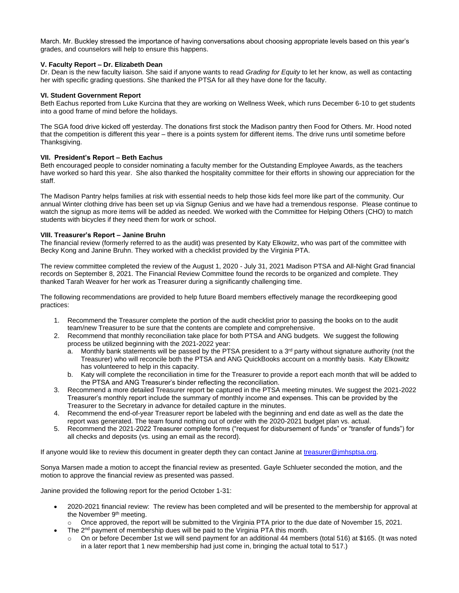March. Mr. Buckley stressed the importance of having conversations about choosing appropriate levels based on this year's grades, and counselors will help to ensure this happens.

### **V. Faculty Report – Dr. Elizabeth Dean**

Dr. Dean is the new faculty liaison. She said if anyone wants to read *Grading for Equity* to let her know, as well as contacting her with specific grading questions. She thanked the PTSA for all they have done for the faculty.

### **VI. Student Government Report**

Beth Eachus reported from Luke Kurcina that they are working on Wellness Week, which runs December 6-10 to get students into a good frame of mind before the holidays.

The SGA food drive kicked off yesterday. The donations first stock the Madison pantry then Food for Others. Mr. Hood noted that the competition is different this year – there is a points system for different items. The drive runs until sometime before Thanksgiving.

### **VII. President's Report – Beth Eachus**

Beth encouraged people to consider nominating a faculty member for the Outstanding Employee Awards, as the teachers have worked so hard this year. She also thanked the hospitality committee for their efforts in showing our appreciation for the staff.

The Madison Pantry helps families at risk with essential needs to help those kids feel more like part of the community. Our annual Winter clothing drive has been set up via Signup Genius and we have had a tremendous response. Please continue to watch the signup as more items will be added as needed. We worked with the Committee for Helping Others (CHO) to match students with bicycles if they need them for work or school.

#### **VIII. Treasurer's Report – Janine Bruhn**

The financial review (formerly referred to as the audit) was presented by Katy Elkowitz, who was part of the committee with Becky Kong and Janine Bruhn. They worked with a checklist provided by the Virginia PTA.

The review committee completed the review of the August 1, 2020 - July 31, 2021 Madison PTSA and All-Night Grad financial records on September 8, 2021. The Financial Review Committee found the records to be organized and complete. They thanked Tarah Weaver for her work as Treasurer during a significantly challenging time.

The following recommendations are provided to help future Board members effectively manage the recordkeeping good practices:

- 1. Recommend the Treasurer complete the portion of the audit checklist prior to passing the books on to the audit team/new Treasurer to be sure that the contents are complete and comprehensive.
- 2. Recommend that monthly reconciliation take place for both PTSA and ANG budgets. We suggest the following process be utilized beginning with the 2021-2022 year:
	- a. Monthly bank statements will be passed by the PTSA president to a  $3<sup>rd</sup>$  party without signature authority (not the Treasurer) who will reconcile both the PTSA and ANG QuickBooks account on a monthly basis. Katy Elkowitz has volunteered to help in this capacity.
	- b. Katy will complete the reconciliation in time for the Treasurer to provide a report each month that will be added to the PTSA and ANG Treasurer's binder reflecting the reconciliation.
- 3. Recommend a more detailed Treasurer report be captured in the PTSA meeting minutes. We suggest the 2021-2022 Treasurer's monthly report include the summary of monthly income and expenses. This can be provided by the Treasurer to the Secretary in advance for detailed capture in the minutes.
- 4. Recommend the end-of-year Treasurer report be labeled with the beginning and end date as well as the date the report was generated. The team found nothing out of order with the 2020-2021 budget plan vs. actual.
- 5. Recommend the 2021-2022 Treasurer complete forms ("request for disbursement of funds" or "transfer of funds") for all checks and deposits (vs. using an email as the record).

If anyone would like to review this document in greater depth they can contact Janine at [treasurer@jmhsptsa.org.](mailto:treasurer@jmhsptsa.org)

Sonya Marsen made a motion to accept the financial review as presented. Gayle Schlueter seconded the motion, and the motion to approve the financial review as presented was passed.

Janine provided the following report for the period October 1-31:

- 2020-2021 financial review: The review has been completed and will be presented to the membership for approval at the November 9<sup>th</sup> meeting.
	- o Once approved, the report will be submitted to the Virginia PTA prior to the due date of November 15, 2021.
- The 2<sup>nd</sup> payment of membership dues will be paid to the Virginia PTA this month.
	- $\circ$  On or before December 1st we will send payment for an additional 44 members (total 516) at \$165. (It was noted in a later report that 1 new membership had just come in, bringing the actual total to 517.)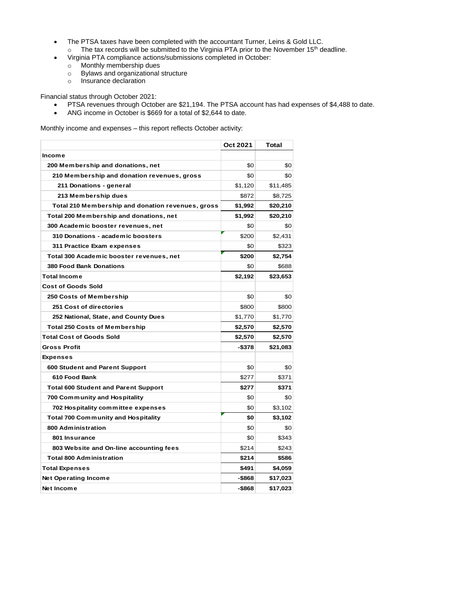- The PTSA taxes have been completed with the accountant Turner, Leins & Gold LLC.  $\circ$  The tax records will be submitted to the Virginia PTA prior to the November 15<sup>th</sup> deadline.
	- Virginia PTA compliance actions/submissions completed in October:
		- o Monthly membership dues
		- o Bylaws and organizational structure
		- o Insurance declaration

Financial status through October 2021:

- PTSA revenues through October are \$21,194. The PTSA account has had expenses of \$4,488 to date.
- ANG income in October is \$669 for a total of \$2,644 to date.

Monthly income and expenses – this report reflects October activity:

|                                                   | <b>Oct 2021</b> | Total    |
|---------------------------------------------------|-----------------|----------|
| Income                                            |                 |          |
| 200 Membership and donations, net                 | \$0             | \$0      |
| 210 Membership and donation revenues, gross       | \$0             | \$0      |
| 211 Donations - general                           | \$1,120         | \$11,485 |
| 213 Membership dues                               | \$872           | \$8,725  |
| Total 210 Membership and donation revenues, gross | \$1,992         | \$20,210 |
| Total 200 Membership and donations, net           | \$1,992         | \$20,210 |
| 300 Academic booster revenues, net                | \$0             | \$0      |
| 310 Donations - academic boosters                 | \$200           | \$2,431  |
| 311 Practice Exam expenses                        | \$0             | \$323    |
| Total 300 Academic booster revenues, net          | \$200           | \$2,754  |
| 380 Food Bank Donations                           | \$0             | \$688    |
| <b>Total Income</b>                               | \$2,192         | \$23,653 |
| <b>Cost of Goods Sold</b>                         |                 |          |
| <b>250 Costs of Membership</b>                    | \$0             | \$0      |
| 251 Cost of directories                           | \$800           | \$800    |
| 252 National, State, and County Dues              | \$1,770         | \$1,770  |
| <b>Total 250 Costs of Membership</b>              | \$2,570         | \$2,570  |
| <b>Total Cost of Goods Sold</b>                   | \$2,570         | \$2,570  |
| <b>Gross Profit</b>                               | -\$378          | \$21,083 |
| <b>Expenses</b>                                   |                 |          |
| 600 Student and Parent Support                    | \$0             | \$0      |
| 610 Food Bank                                     | \$277           | \$371    |
| <b>Total 600 Student and Parent Support</b>       | \$277           | \$371    |
| 700 Community and Hospitality                     | \$0             | \$0      |
| 702 Hospitality committee expenses                | \$0             | \$3,102  |
| <b>Total 700 Community and Hospitality</b>        | \$0             | \$3,102  |
| 800 Administration                                | \$0             | \$0      |
| 801 Insurance                                     | \$0             | \$343    |
| 803 Website and On-line accounting fees           | \$214           | \$243    |
| <b>Total 800 Administration</b>                   | \$214           | \$586    |
| <b>Total Expenses</b>                             | \$491           | \$4,059  |
| <b>Net Operating Income</b>                       | -\$868          | \$17,023 |
| Net Income                                        | -\$868          | \$17,023 |